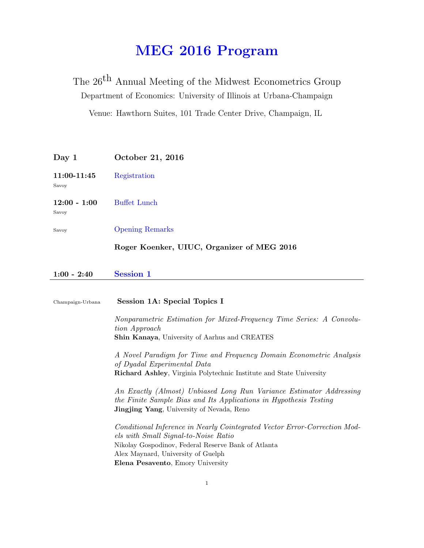# MEG 2016 Program

The  $26^{\mbox{th}}$  Annual Meeting of the Midwest Econometrics Group Department of Economics: University of Illinois at Urbana-Champaign Venue: Hawthorn Suites, 101 Trade Center Drive, Champaign, IL

| Day 1                   | October 21, 2016                           |
|-------------------------|--------------------------------------------|
| 11:00-11:45<br>Savoy    | Registration                               |
| $12:00 - 1:00$<br>Savoy | <b>Buffet Lunch</b>                        |
| Savoy                   | <b>Opening Remarks</b>                     |
|                         | Roger Koenker, UIUC, Organizer of MEG 2016 |
| $1:00 - 2:40$           | Session 1                                  |

 $1:00 - 2:40$ 

| Champaign-Urbana | Session 1A: Special Topics I                                                                                                                                                                  |
|------------------|-----------------------------------------------------------------------------------------------------------------------------------------------------------------------------------------------|
|                  | Nonparametric Estimation for Mixed-Frequency Time Series: A Convolu-<br>tion Approach                                                                                                         |
|                  | <b>Shin Kanaya, University of Aarhus and CREATES</b>                                                                                                                                          |
|                  | A Novel Paradigm for Time and Frequency Domain Econometric Analysis<br>of Dyadal Experimental Data                                                                                            |
|                  | <b>Richard Ashley, Virginia Polytechnic Institute and State University</b>                                                                                                                    |
|                  | An Exactly (Almost) Unbiased Long Run Variance Estimator Addressing<br>the Finite Sample Bias and Its Applications in Hypothesis Testing<br><b>Jingjing Yang</b> , University of Nevada, Reno |
|                  | Conditional Inference in Nearly Cointegrated Vector Error-Correction Mod-<br>els with Small Signal-to-Noise Ratio                                                                             |
|                  | Nikolay Gospodinov, Federal Reserve Bank of Atlanta                                                                                                                                           |
|                  | Alex Maynard, University of Guelph                                                                                                                                                            |
|                  | Elena Pesavento, Emory University                                                                                                                                                             |
|                  |                                                                                                                                                                                               |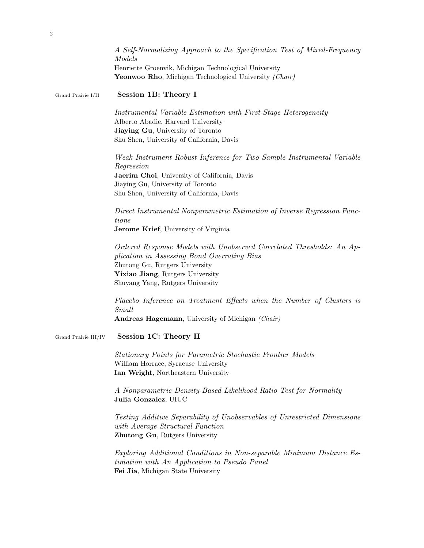|                      | A Self-Normalizing Approach to the Specification Test of Mixed-Frequency<br>Models                                                                                                                                             |
|----------------------|--------------------------------------------------------------------------------------------------------------------------------------------------------------------------------------------------------------------------------|
|                      | Henriette Groenvik, Michigan Technological University<br>Yeonwoo Rho, Michigan Technological University (Chair)                                                                                                                |
| Grand Prairie I/II   | Session 1B: Theory I                                                                                                                                                                                                           |
|                      | Instrumental Variable Estimation with First-Stage Heterogeneity<br>Alberto Abadie, Harvard University<br>Jiaying Gu, University of Toronto<br>Shu Shen, University of California, Davis                                        |
|                      | Weak Instrument Robust Inference for Two Sample Instrumental Variable<br>Regression<br>Jaerim Choi, University of California, Davis<br>Jiaying Gu, University of Toronto<br>Shu Shen, University of California, Davis          |
|                      | Direct Instrumental Nonparametric Estimation of Inverse Regression Func-<br>tions<br>Jerome Krief, University of Virginia                                                                                                      |
|                      | Ordered Response Models with Unobserved Correlated Thresholds: An Ap-<br>plication in Assessing Bond Overrating Bias<br>Zhutong Gu, Rutgers University<br>Yixiao Jiang, Rutgers University<br>Shuyang Yang, Rutgers University |
|                      | Placebo Inference on Treatment Effects when the Number of Clusters is<br>Small<br>Andreas Hagemann, University of Michigan (Chair)                                                                                             |
| Grand Prairie III/IV | Session 1C: Theory II                                                                                                                                                                                                          |
|                      | Stationary Points for Parametric Stochastic Frontier Models<br>William Horrace, Syracuse University<br>Ian Wright, Northeastern University                                                                                     |
|                      | A Nonparametric Density-Based Likelihood Ratio Test for Normality<br>Julia Gonzalez, UIUC                                                                                                                                      |
|                      | Testing Additive Separability of Unobservables of Unrestricted Dimensions<br>with Average Structural Function<br>Zhutong Gu, Rutgers University                                                                                |
|                      | Exploring Additional Conditions in Non-separable Minimum Distance Es-<br>timation with An Application to Pseudo Panel<br>Fei Jia, Michigan State University                                                                    |

2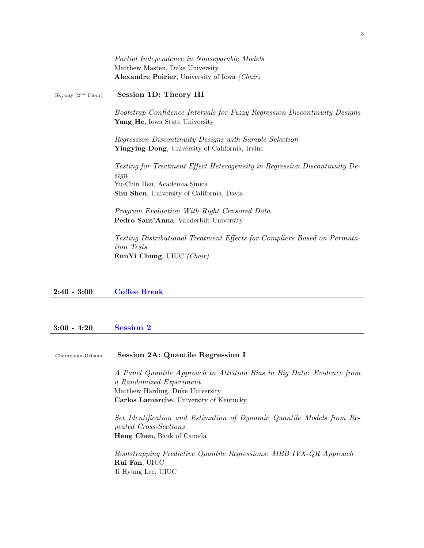|                         | Partial Independence in Nonseparable Models<br>Matthew Masten, Duke University                              |
|-------------------------|-------------------------------------------------------------------------------------------------------------|
|                         | <b>Alexandre Poirier</b> , University of Iowa <i>(Chair)</i>                                                |
| Skyway $(2^{nd}$ Floor) | Session 1D: Theory III                                                                                      |
|                         | Bootstrap Confidence Intervals for Fuzzy Regression Discontinuity Designs<br>Yang He, Iowa State University |
|                         | Regression Discontinuity Designs with Sample Selection<br>Yingying Dong, University of California, Irvine   |
|                         | Testing for Treatment Effect Heterogeneity in Regression Discontinuity De-<br>sign                          |
|                         | Yu-Chin Hsu, Academia Sinica                                                                                |
|                         | <b>Shu Shen, University of California, Davis</b>                                                            |
|                         | Program Evaluation With Right Censored Data                                                                 |
|                         | Pedro Sant'Anna, Vanderbilt University                                                                      |
|                         | Testing Distributional Treatment Effects for Compliers Based on Permuta-<br>tion Tests                      |
|                         | EunYi Chung, UIUC $(Chair)$                                                                                 |
|                         |                                                                                                             |

#### 2:40 - 3:00 Coffee Break

## 3:00 - 4:20 Session 2

Champaign-Urbana Session 2A: Quantile Regression I

A Panel Quantile Approach to Attrition Bias in Big Data: Evidence from a Randomized Experiment Matthew Harding, Duke University Carlos Lamarche, University of Kentucky

Set Identification and Estimation of Dynamic Quantile Models from Repeated Cross-Sections Heng Chen, Bank of Canada

Bootstrapping Predictive Quantile Regressions: MBB IVX-QR Approach Rui Fan, UIUC Ji Hyung Lee, UIUC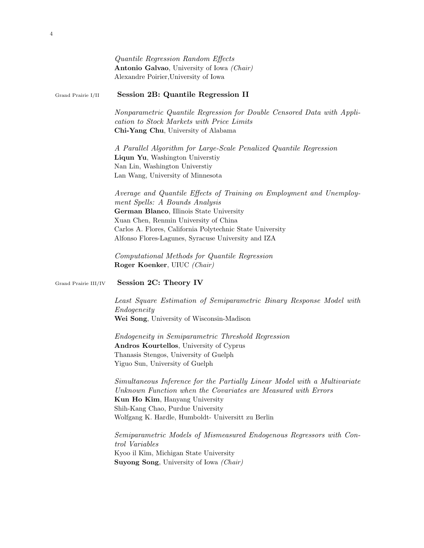|                      | Quantile Regression Random Effects<br>Antonio Galvao, University of Iowa (Chair)<br>Alexandre Poirier, University of Iowa                                                                                                                                                                                       |
|----------------------|-----------------------------------------------------------------------------------------------------------------------------------------------------------------------------------------------------------------------------------------------------------------------------------------------------------------|
| Grand Prairie I/II   | Session 2B: Quantile Regression II                                                                                                                                                                                                                                                                              |
|                      | Nonparametric Quantile Regression for Double Censored Data with Appli-<br>cation to Stock Markets with Price Limits<br>Chi-Yang Chu, University of Alabama                                                                                                                                                      |
|                      | A Parallel Algorithm for Large-Scale Penalized Quantile Regression<br>Liqun Yu, Washington Universtiy<br>Nan Lin, Washington Universtiy<br>Lan Wang, University of Minnesota                                                                                                                                    |
|                      | Average and Quantile Effects of Training on Employment and Unemploy-<br>ment Spells: A Bounds Analysis<br>German Blanco, Illinois State University<br>Xuan Chen, Renmin University of China<br>Carlos A. Flores, California Polytechnic State University<br>Alfonso Flores-Lagunes, Syracuse University and IZA |
|                      | Computational Methods for Quantile Regression<br>Roger Koenker, UIUC (Chair)                                                                                                                                                                                                                                    |
| Grand Prairie III/IV | Session 2C: Theory IV                                                                                                                                                                                                                                                                                           |
|                      | Least Square Estimation of Semiparametric Binary Response Model with<br>Endogeneity<br>Wei Song, University of Wisconsin-Madison                                                                                                                                                                                |
|                      | <i>Endogeneity in Semiparametric Threshold Regression</i><br>Andros Kourtellos, University of Cyprus<br>Thanasis Stengos, University of Guelph<br>Yiguo Sun, University of Guelph                                                                                                                               |
|                      | Simultaneous Inference for the Partially Linear Model with a Multivariate<br>Unknown Function when the Covariates are Measured with Errors<br>Kun Ho Kim, Hanyang University<br>Shih-Kang Chao, Purdue University<br>Wolfgang K. Hardle, Humboldt- Universitt zu Berlin                                         |
|                      | Semiparametric Models of Mismeasured Endogenous Regressors with Con-<br><i>trol Variables</i><br>Kyoo il Kim, Michigan State University<br><b>Suyong Song</b> , University of Iowa (Chair)                                                                                                                      |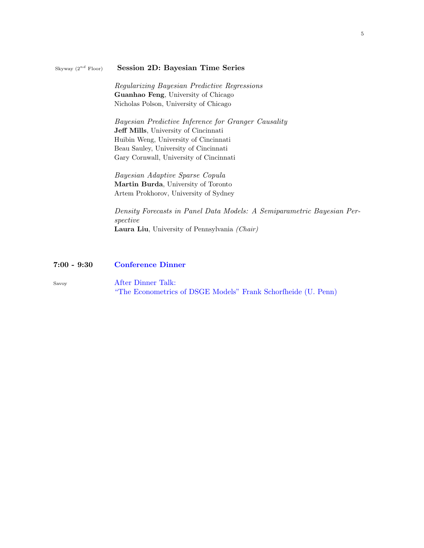#### Skyway  $(2^{nd}$  Floor) Session 2D: Bayesian Time Series

Regularizing Bayesian Predictive Regressions Guanhao Feng, University of Chicago Nicholas Polson, University of Chicago

Bayesian Predictive Inference for Granger Causality Jeff Mills, University of Cincinnati Huibin Weng, University of Cincinnati Beau Sauley, University of Cincinnati Gary Cornwall, University of Cincinnati

Bayesian Adaptive Sparse Copula Martin Burda, University of Toronto Artem Prokhorov, University of Sydney

Density Forecasts in Panel Data Models: A Semiparametric Bayesian Perspective Laura Liu, University of Pennsylvania (Chair)

## 7:00 - 9:30 Conference Dinner

Savoy After Dinner Talk: "The Econometrics of DSGE Models" Frank Schorfheide (U. Penn)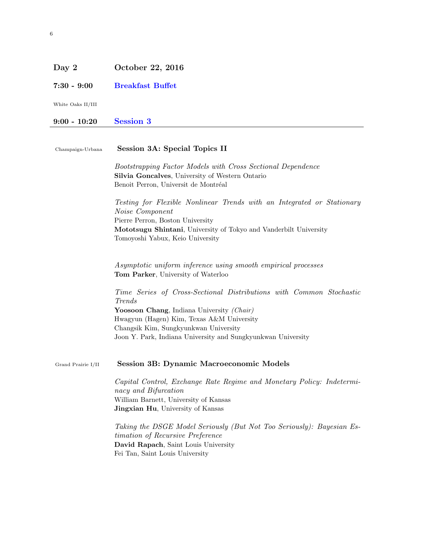# Day 2 October 22, 2016

7:30 - 9:00 Breakfast Buffet

White Oaks II/III

# 9:00 - 10:20 Session 3

| Champaign-Urbana   | Session 3A: Special Topics II                                                                                                                                                                                                          |
|--------------------|----------------------------------------------------------------------------------------------------------------------------------------------------------------------------------------------------------------------------------------|
|                    | Bootstrapping Factor Models with Cross Sectional Dependence<br>Silvia Goncalves, University of Western Ontario<br>Benoit Perron, Universit de Montréal                                                                                 |
|                    | Testing for Flexible Nonlinear Trends with an Integrated or Stationary<br>Noise Component<br>Pierre Perron, Boston University<br>Mototsugu Shintani, University of Tokyo and Vanderbilt University<br>Tomoyoshi Yabux, Keio University |
|                    | Asymptotic uniform inference using smooth empirical processes<br>Tom Parker, University of Waterloo                                                                                                                                    |
|                    | Time Series of Cross-Sectional Distributions with Common Stochastic<br>Trends                                                                                                                                                          |
|                    | Yoosoon Chang, Indiana University (Chair)                                                                                                                                                                                              |
|                    | Hwagyun (Hagen) Kim, Texas A&M University                                                                                                                                                                                              |
|                    | Changsik Kim, Sungkyunkwan University<br>Joon Y. Park, Indiana University and Sungkyunkwan University                                                                                                                                  |
| Grand Prairie I/II | <b>Session 3B: Dynamic Macroeconomic Models</b>                                                                                                                                                                                        |
|                    | Capital Control, Exchange Rate Regime and Monetary Policy: Indetermi-<br>nacy and Bifurcation                                                                                                                                          |
|                    | William Barnett, University of Kansas                                                                                                                                                                                                  |
|                    | Jingxian Hu, University of Kansas                                                                                                                                                                                                      |
|                    | Taking the DSGE Model Seriously (But Not Too Seriously): Bayesian Es-<br>timation of Recursive Preference                                                                                                                              |
|                    | David Rapach, Saint Louis University<br>Fei Tan, Saint Louis University                                                                                                                                                                |
|                    |                                                                                                                                                                                                                                        |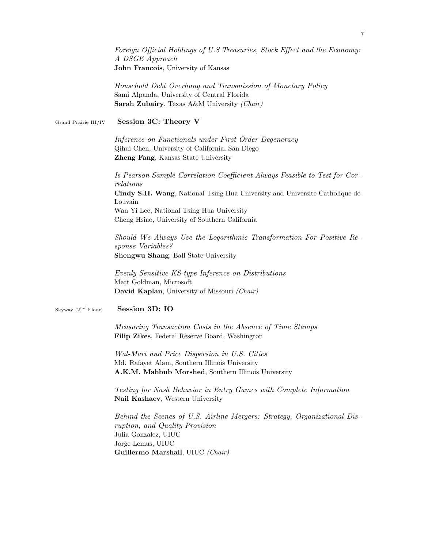|                         | Foreign Official Holdings of U.S Treasuries, Stock Effect and the Economy:<br>A DSGE Approach<br>John Francois, University of Kansas                                                        |
|-------------------------|---------------------------------------------------------------------------------------------------------------------------------------------------------------------------------------------|
|                         | Household Debt Overhang and Transmission of Monetary Policy<br>Sami Alpanda, University of Central Florida<br>Sarah Zubairy, Texas A&M University (Chair)                                   |
| Grand Prairie III/IV    | Session 3C: Theory V                                                                                                                                                                        |
|                         | Inference on Functionals under First Order Degeneracy<br>Qihui Chen, University of California, San Diego<br>Zheng Fang, Kansas State University                                             |
|                         | Is Pearson Sample Correlation Coefficient Always Feasible to Test for Cor-<br>relations                                                                                                     |
|                         | Cindy S.H. Wang, National Tsing Hua University and Universite Catholique de<br>Louvain                                                                                                      |
|                         | Wan Yi Lee, National Tsing Hua University<br>Cheng Hsiao, University of Southern California                                                                                                 |
|                         | Should We Always Use the Logarithmic Transformation For Positive Re-<br>sponse Variables?<br>Shengwu Shang, Ball State University                                                           |
|                         | Evenly Sensitive KS-type Inference on Distributions<br>Matt Goldman, Microsoft<br>David Kaplan, University of Missouri (Chair)                                                              |
| Skyway $(2^{nd}$ Floor) | Session 3D: IO                                                                                                                                                                              |
|                         | Measuring Transaction Costs in the Absence of Time Stamps<br>Filip Zikes, Federal Reserve Board, Washington                                                                                 |
|                         | Wal-Mart and Price Dispersion in U.S. Cities<br>Md. Rafayet Alam, Southern Illinois University<br>A.K.M. Mahbub Morshed, Southern Illinois University                                       |
|                         | Testing for Nash Behavior in Entry Games with Complete Information<br>Nail Kashaev, Western University                                                                                      |
|                         | Behind the Scenes of U.S. Airline Mergers: Strategy, Organizational Dis-<br>ruption, and Quality Provision<br>Julia Gonzalez, UIUC<br>Jorge Lemus, UIUC<br>Guillermo Marshall, UIUC (Chair) |
|                         |                                                                                                                                                                                             |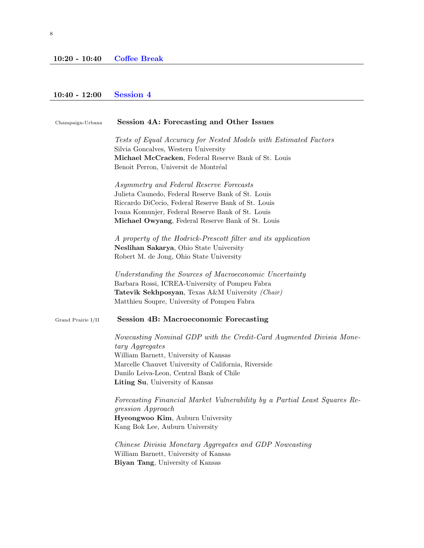## 10:40 - 12:00 Session 4

| Session 4A: Forecasting and Other Issues                                                                                                                         |
|------------------------------------------------------------------------------------------------------------------------------------------------------------------|
| Tests of Equal Accuracy for Nested Models with Estimated Factors<br>Silvia Goncalves, Western University<br>Michael McCracken, Federal Reserve Bank of St. Louis |
| Benoit Perron, Universit de Montréal                                                                                                                             |
| Asymmetry and Federal Reserve Forecasts                                                                                                                          |
| Julieta Caunedo, Federal Reserve Bank of St. Louis<br>Riccardo DiCecio, Federal Reserve Bank of St. Louis                                                        |
| Ivana Komunjer, Federal Reserve Bank of St. Louis                                                                                                                |
| Michael Owyang, Federal Reserve Bank of St. Louis                                                                                                                |
| A property of the Hodrick-Prescott filter and its application                                                                                                    |
| Neslihan Sakarya, Ohio State University                                                                                                                          |
| Robert M. de Jong, Ohio State University                                                                                                                         |
| Understanding the Sources of Macroeconomic Uncertainty                                                                                                           |
| Barbara Rossi, ICREA-University of Pompeu Fabra                                                                                                                  |
| Tatevik Sekhposyan, Texas A&M University (Chair)                                                                                                                 |
| Matthieu Soupre, University of Pompeu Fabra                                                                                                                      |
| <b>Session 4B: Macroeconomic Forecasting</b>                                                                                                                     |
| Nowcasting Nominal GDP with the Credit-Card Augmented Divisia Mone-<br>tary Aggregates                                                                           |
| William Barnett, University of Kansas                                                                                                                            |
| Marcelle Chauvet University of California, Riverside                                                                                                             |
| Danilo Leiva-Leon, Central Bank of Chile                                                                                                                         |
| Liting Su, University of Kansas                                                                                                                                  |
| Forecasting Financial Market Vulnerability by a Partial Least Squares Re-                                                                                        |
| gression Approach                                                                                                                                                |
| Hyeongwoo Kim, Auburn University<br>Kang Bok Lee, Auburn University                                                                                              |
| Chinese Divisia Monetary Aggregates and GDP Nowcasting                                                                                                           |
| William Barnett, University of Kansas                                                                                                                            |
| Biyan Tang, University of Kansas                                                                                                                                 |
|                                                                                                                                                                  |
|                                                                                                                                                                  |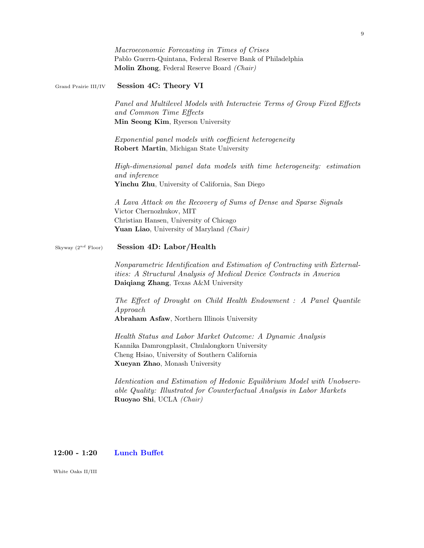|                         | Macroeconomic Forecasting in Times of Crises<br>Pablo Guerrn-Quintana, Federal Reserve Bank of Philadelphia<br>Molin Zhong, Federal Reserve Board (Chair)                                         |
|-------------------------|---------------------------------------------------------------------------------------------------------------------------------------------------------------------------------------------------|
| Grand Prairie III/IV    | Session 4C: Theory VI                                                                                                                                                                             |
|                         | Panel and Multilevel Models with Interactvie Terms of Group Fixed Effects<br>and Common Time Effects<br>Min Seong Kim, Ryerson University                                                         |
|                         | Exponential panel models with coefficient heterogeneity<br>Robert Martin, Michigan State University                                                                                               |
|                         | High-dimensional panel data models with time heterogeneity: estimation<br>and inference<br>Yinchu Zhu, University of California, San Diego                                                        |
|                         | A Lava Attack on the Recovery of Sums of Dense and Sparse Signals<br>Victor Chernozhukov, MIT<br>Christian Hansen, University of Chicago<br>Yuan Liao, University of Maryland (Chair)             |
| Skyway $(2^{nd}$ Floor) | Session 4D: Labor/Health                                                                                                                                                                          |
|                         | Nonparametric Identification and Estimation of Contracting with External-<br><i>ities:</i> A Structural Analysis of Medical Device Contracts in America<br>Daiqiang Zhang, Texas A&M University   |
|                         | The Effect of Drought on Child Health Endowment : A Panel Quantile<br>$A$ pproach<br>Abraham Asfaw, Northern Illinois University                                                                  |
|                         | Health Status and Labor Market Outcome: A Dynamic Analysis<br>Kannika Damrongplasit, Chulalongkorn University<br>Cheng Hsiao, University of Southern California<br>Xueyan Zhao, Monash University |
|                         | Identication and Estimation of Hedonic Equilibrium Model with Unobserv-<br>able Quality: Illustrated for Counterfactual Analysis in Labor Markets<br>Ruoyao Shi, UCLA (Chair)                     |
|                         |                                                                                                                                                                                                   |

## 12:00 - 1:20 Lunch Buffet

White Oaks II/III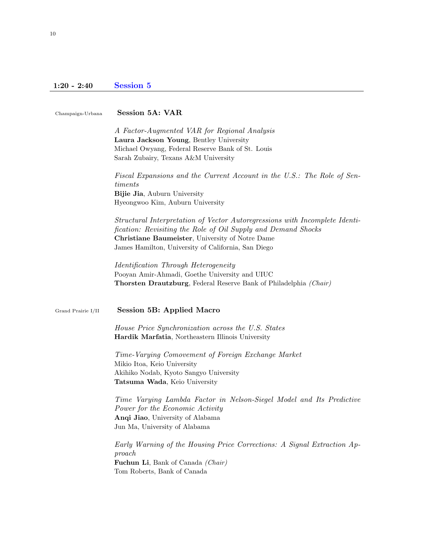# 1:20 - 2:40 Session 5

| Champaign-Urbana   | <b>Session 5A: VAR</b>                                                                                                                                                                                                                                 |
|--------------------|--------------------------------------------------------------------------------------------------------------------------------------------------------------------------------------------------------------------------------------------------------|
|                    | A Factor-Augmented VAR for Regional Analysis<br>Laura Jackson Young, Bentley University<br>Michael Owyang, Federal Reserve Bank of St. Louis<br>Sarah Zubairy, Texans A&M University                                                                   |
|                    | Fiscal Expansions and the Current Account in the U.S.: The Role of Sen-<br>timents<br>Bijie Jia, Auburn University<br>Hyeongwoo Kim, Auburn University                                                                                                 |
|                    | Structural Interpretation of Vector Autoregressions with Incomplete Identi-<br>fication: Revisiting the Role of Oil Supply and Demand Shocks<br>Christiane Baumeister, University of Notre Dame<br>James Hamilton, University of California, San Diego |
|                    | Identification Through Heterogeneity<br>Pooyan Amir-Ahmadi, Goethe University and UIUC<br><b>Thorsten Drautzburg</b> , Federal Reserve Bank of Philadelphia (Chair)                                                                                    |
| Grand Prairie I/II | <b>Session 5B: Applied Macro</b>                                                                                                                                                                                                                       |
|                    | House Price Synchronization across the U.S. States<br>Hardik Marfatia, Northeastern Illinois University                                                                                                                                                |
|                    | Time-Varying Comovement of Foreign Exchange Market<br>Mikio Itoa, Keio University<br>Akihiko Nodab, Kyoto Sangyo University<br>Tatsuma Wada, Keio University                                                                                           |
|                    | Time Varying Lambda Factor in Nelson-Siegel Model and Its Predictive<br>Power for the Economic Activity<br>Anqi Jiao, University of Alabama<br>Jun Ma, University of Alabama                                                                           |
|                    | Early Warning of the Housing Price Corrections: A Signal Extraction Ap-<br>proach<br>Fuchun Li, Bank of Canada (Chair)<br>Tom Roberts, Bank of Canada                                                                                                  |
|                    |                                                                                                                                                                                                                                                        |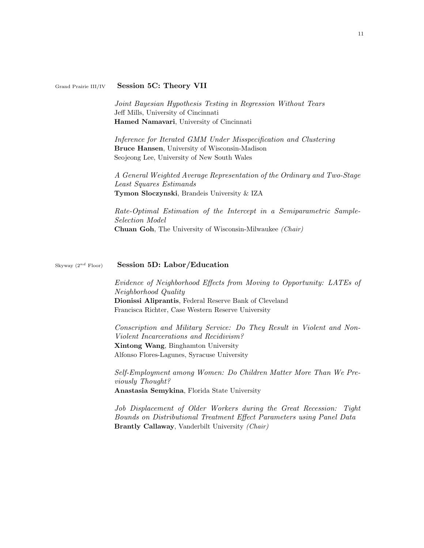#### Grand Prairie III/IV Session 5C: Theory VII

Joint Bayesian Hypothesis Testing in Regression Without Tears Jeff Mills, University of Cincinnati Hamed Namavari, University of Cincinnati

Inference for Iterated GMM Under Misspecification and Clustering Bruce Hansen, University of Wisconsin-Madison Seojeong Lee, University of New South Wales

A General Weighted Average Representation of the Ordinary and Two-Stage Least Squares Estimands Tymon Sloczynski, Brandeis University & IZA

Rate-Optimal Estimation of the Intercept in a Semiparametric Sample-Selection Model Chuan Goh, The University of Wisconsin-Milwaukee (Chair)

#### Skyway  $(2^{nd}$  Floor) Session 5D: Labor/Education

Evidence of Neighborhood Effects from Moving to Opportunity: LATEs of Neighborhood Quality Dionissi Aliprantis, Federal Reserve Bank of Cleveland Francisca Richter, Case Western Reserve University

Conscription and Military Service: Do They Result in Violent and Non-Violent Incarcerations and Recidivism? Xintong Wang, Binghamton University Alfonso Flores-Lagunes, Syracuse University

Self-Employment among Women: Do Children Matter More Than We Previously Thought? Anastasia Semykina, Florida State University

Job Displacement of Older Workers during the Great Recession: Tight Bounds on Distributional Treatment Effect Parameters using Panel Data Brantly Callaway, Vanderbilt University (Chair)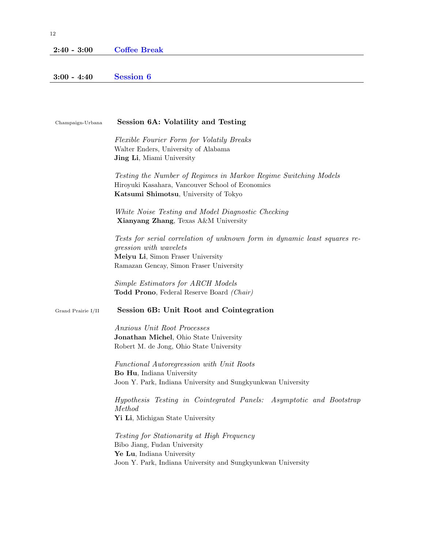## 2:40 - 3:00 Coffee Break

# 3:00 - 4:40 Session 6

| Champaign-Urbana   | Session 6A: Volatility and Testing                                                                                                                                                  |
|--------------------|-------------------------------------------------------------------------------------------------------------------------------------------------------------------------------------|
|                    | Flexible Fourier Form for Volatily Breaks<br>Walter Enders, University of Alabama<br><b>Jing Li</b> , Miami University                                                              |
|                    | Testing the Number of Regimes in Markov Regime Switching Models<br>Hiroyuki Kasahara, Vancouver School of Economics<br>Katsumi Shimotsu, University of Tokyo                        |
|                    | White Noise Testing and Model Diagnostic Checking<br>Xianyang Zhang, Texas A&M University                                                                                           |
|                    | Tests for serial correlation of unknown form in dynamic least squares re-<br>gression with wavelets<br>Meiyu Li, Simon Fraser University<br>Ramazan Gencay, Simon Fraser University |
|                    | Simple Estimators for ARCH Models<br>Todd Prono, Federal Reserve Board (Chair)                                                                                                      |
| Grand Prairie I/II | Session 6B: Unit Root and Cointegration                                                                                                                                             |
|                    | Anxious Unit Root Processes<br>Jonathan Michel, Ohio State University<br>Robert M. de Jong, Ohio State University                                                                   |
|                    | Functional Autoregression with Unit Roots<br>Bo Hu, Indiana University<br>Joon Y. Park, Indiana University and Sungkyunkwan University                                              |
|                    | Hypothesis Testing in Cointegrated Panels: Asymptotic and Bootstrap<br>Method<br>Yi Li, Michigan State University                                                                   |
|                    | <i>Testing for Stationarity at High Frequency</i><br>Bibo Jiang, Fudan University<br>Ye Lu, Indiana University<br>Joon Y. Park, Indiana University and Sungkyunkwan University      |
|                    |                                                                                                                                                                                     |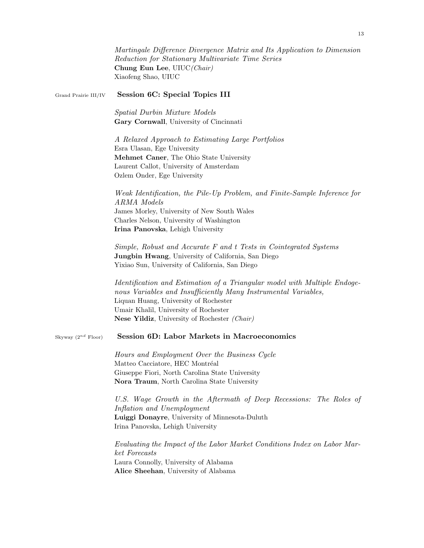|                         | Martingale Difference Divergence Matrix and Its Application to Dimension<br>Reduction for Stationary Multivariate Time Series<br>Chung Eun Lee, UIUC(Chair)<br>Xiaofeng Shao, UIUC                                                                                            |
|-------------------------|-------------------------------------------------------------------------------------------------------------------------------------------------------------------------------------------------------------------------------------------------------------------------------|
| Grand Prairie III/IV    | Session 6C: Special Topics III                                                                                                                                                                                                                                                |
|                         | Spatial Durbin Mixture Models<br>Gary Cornwall, University of Cincinnati                                                                                                                                                                                                      |
|                         | A Relaxed Approach to Estimating Large Portfolios<br>Esra Ulasan, Ege University<br>Mehmet Caner, The Ohio State University<br>Laurent Callot, University of Amsterdam<br>Ozlem Onder, Ege University                                                                         |
|                         | Weak Identification, the Pile-Up Problem, and Finite-Sample Inference for<br><b>ARMA</b> Models<br>James Morley, University of New South Wales<br>Charles Nelson, University of Washington<br>Irina Panovska, Lehigh University                                               |
|                         | Simple, Robust and Accurate F and t Tests in Cointegrated Systems<br>Jungbin Hwang, University of California, San Diego<br>Yixiao Sun, University of California, San Diego                                                                                                    |
|                         | Identification and Estimation of a Triangular model with Multiple Endoge-<br>nous Variables and Insufficiently Many Instrumental Variables,<br>Liquan Huang, University of Rochester<br>Umair Khalil, University of Rochester<br>Nese Yildiz, University of Rochester (Chair) |
| Skyway $(2^{nd}$ Floor) | Session 6D: Labor Markets in Macroeconomics                                                                                                                                                                                                                                   |
|                         | Hours and Employment Over the Business Cycle<br>Matteo Cacciatore, HEC Montréal<br>Giuseppe Fiori, North Carolina State University<br>Nora Traum, North Carolina State University                                                                                             |
|                         | U.S. Wage Growth in the Aftermath of Deep Recessions: The Roles of<br>Inflation and Unemployment<br>Luiggi Donayre, University of Minnesota-Duluth<br>Irina Panovska, Lehigh University                                                                                       |
|                         | Evaluating the Impact of the Labor Market Conditions Index on Labor Mar-<br>ket Forecasts<br>Laura Connolly, University of Alabama<br>Alice Sheehan, University of Alabama                                                                                                    |